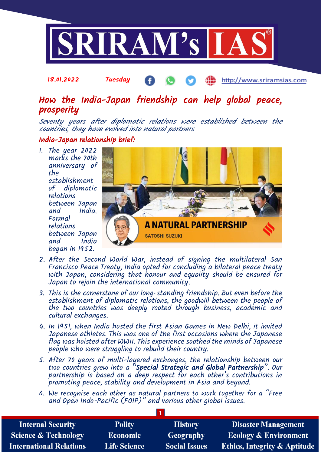

#### 18.01.2022 Tuesday http://www.sriramsias.com

## How the India-Japan friendship can help global peace, prosperity

Seventy years after diplomatic relations were established between the countries, they have evolved into natural partners

#### India-Japan relationship brief:

1. The year 2022 marks the 70th anniversary of the establishment of diplomatic relations between Japan India. Formal relations between Japan India began in 1952.



- 2. After the Second World War, instead of signing the multilateral San Francisco Peace Treaty, India opted for concluding a bilateral peace treaty with Japan, considering that honour and equality should be ensured for Japan to rejoin the international community.
- 3. This is the cornerstone of our long-standing friendship. But even before the establishment of diplomatic relations, the goodwill between the people of the two countries was deeply rooted through business, academic and cultural exchanges.
- 4. In 1951, when India hosted the first Asian Games in New Delhi, it invited Japanese athletes. This was one of the first occasions where the Japanese flag was hoisted after WWII. This experience soothed the minds of Japanese people who were struggling to rebuild their country.
- 5. After 70 years of multi-layered exchanges, the relationship between our two countries grew into a "Special Strategic and Global Partnership". Our partnership is based on a deep respect for each other's contributions in promoting peace, stability and development in Asia and beyond.
- 6. We recognise each other as natural partners to work together for a "Free and Open Indo-Pacific (FOIP)" and various other global issues.

| <b>Internal Security</b>        | <b>Polity</b>       | <b>History</b>       | <b>Disaster Management</b>              |
|---------------------------------|---------------------|----------------------|-----------------------------------------|
| <b>Science &amp; Technology</b> | <b>Economic</b>     | Geography            | <b>Ecology &amp; Environment</b>        |
| <b>International Relations</b>  | <b>Life Science</b> | <b>Social Issues</b> | <b>Ethics, Integrity &amp; Aptitude</b> |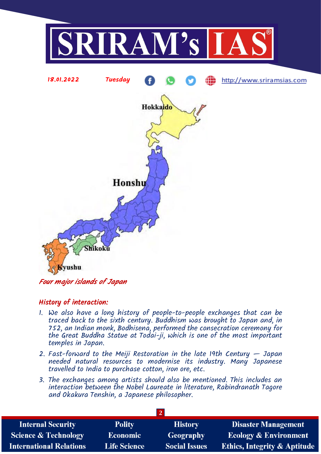

### Four major islands of Japan

#### History of interaction:

- 1. We also have a long history of people-to-people exchanges that can be traced back to the sixth century. Buddhism was brought to Japan and, in 752, an Indian monk, Bodhisena, performed the consecration ceremony for the Great Buddha Statue at Todai-ji, which is one of the most important temples in Japan.
- 2. Fast-forward to the Meiji Restoration in the late 19th Century Japan needed natural resources to modernise its industry. Many Japanese travelled to India to purchase cotton, iron ore, etc.
- 3. The exchanges among artists should also be mentioned. This includes an interaction between the Nobel Laureate in literature, Rabindranath Tagore and Okakura Tenshin, a Japanese philosopher.

| <b>Internal Security</b>        | <b>Polity</b>       | <b>History</b>       | <b>Disaster Management</b>              |  |  |
|---------------------------------|---------------------|----------------------|-----------------------------------------|--|--|
| <b>Science &amp; Technology</b> | <b>Economic</b>     | <b>Geography</b>     | <b>Ecology &amp; Environment</b>        |  |  |
| <b>International Relations</b>  | <b>Life Science</b> | <b>Social Issues</b> | <b>Ethics, Integrity &amp; Aptitude</b> |  |  |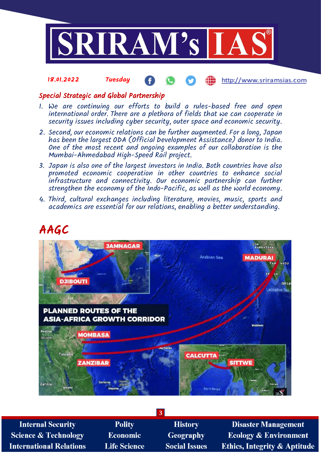

#### 18.01.2022 Tuesday æ http://www.sriramsias.com

### Special Strategic and Global Partnership

- 1. We are continuing our efforts to build a rules-based free and open international order. There are a plethora of fields that we can cooperate in security issues including cyber security, outer space and economic security.
- 2. Second, our economic relations can be further augmented. For a long, Japan has been the largest ODA (Official Development Assistance) donor to India. One of the most recent and ongoing examples of our collaboration is the Mumbai-Ahmedabad High-Speed Rail project.
- 3. Japan is also one of the largest investors in India. Both countries have also promoted economic cooperation in other countries to enhance social infrastructure and connectivity. Our economic partnership can further strengthen the economy of the Indo-Pacific, as well as the world economy.
- 4. Third, cultural exchanges including literature, movies, music, sports and academics are essential for our relations, enabling a better understanding.

# AAGC



| 3                               |                     |                      |                                         |  |  |
|---------------------------------|---------------------|----------------------|-----------------------------------------|--|--|
| <b>Internal Security</b>        | <b>Polity</b>       | <b>History</b>       | <b>Disaster Management</b>              |  |  |
| <b>Science &amp; Technology</b> | Economic            | Geography            | <b>Ecology &amp; Environment</b>        |  |  |
| <b>International Relations</b>  | <b>Life Science</b> | <b>Social Issues</b> | <b>Ethics, Integrity &amp; Aptitude</b> |  |  |
|                                 |                     |                      |                                         |  |  |